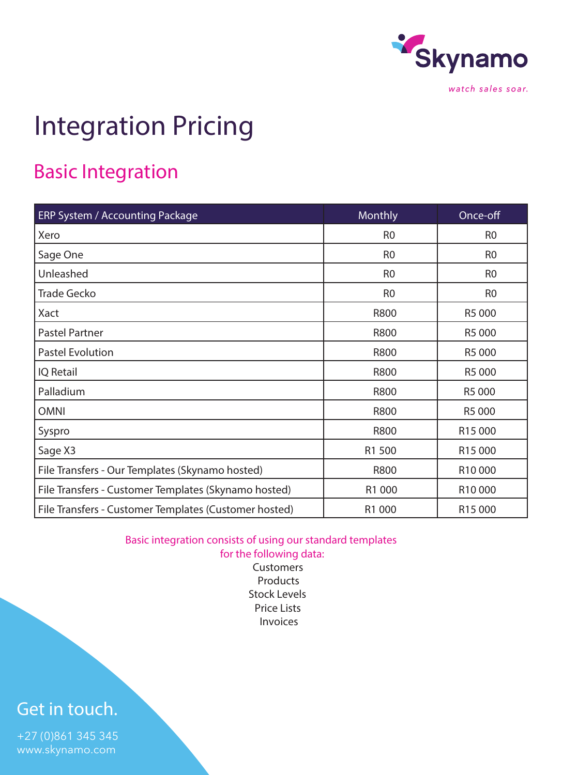

## Integration Pricing

## Basic Integration

| ERP System / Accounting Package                       | Monthly        | Once-off            |
|-------------------------------------------------------|----------------|---------------------|
| Xero                                                  | R <sub>0</sub> | R <sub>0</sub>      |
| Sage One                                              | R <sub>0</sub> | R <sub>0</sub>      |
| Unleashed                                             | R <sub>0</sub> | R <sub>0</sub>      |
| <b>Trade Gecko</b>                                    | R <sub>0</sub> | R <sub>0</sub>      |
| Xact                                                  | R800           | R5 000              |
| <b>Pastel Partner</b>                                 | R800           | R5 000              |
| <b>Pastel Evolution</b>                               | <b>R800</b>    | R5 000              |
| <b>IQ</b> Retail                                      | <b>R800</b>    | R5 000              |
| Palladium                                             | R800           | R5 000              |
| <b>OMNI</b>                                           | <b>R800</b>    | R5 000              |
| Syspro                                                | R800           | R15 000             |
| Sage X3                                               | R1 500         | R <sub>15</sub> 000 |
| File Transfers - Our Templates (Skynamo hosted)       | <b>R800</b>    | R10000              |
| File Transfers - Customer Templates (Skynamo hosted)  | R1 000         | R10000              |
| File Transfers - Customer Templates (Customer hosted) | R1 000         | R <sub>15</sub> 000 |

Basic integration consists of using our standard templates for the following data:

**Customers** Products Stock Levels Price Lists Invoices

### Get in touch.

+27 (0)861 345 345 www.skynamo.com